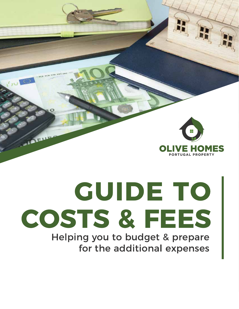

# GUIDE TO COSTS & FEES

Helping you to budget & prepare for the additional expenses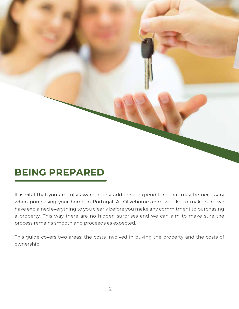### **BEING PREPARED**

It is vital that you are fully aware of any additional expenditure that may be necessary when purchasing your home in Portugal. At Olivehomes.com we like to make sure we have explained everything to you clearly before you make any commitment to purchasing a property. This way there are no hidden surprises and we can aim to make sure the process remains smooth and proceeds as expected.

This guide covers two areas; the costs involved in buying the property and the costs of ownership.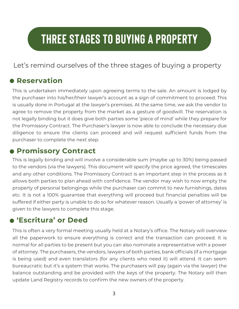## THREE STAGES TO BUYING A PROPERTY

Let's remind ourselves of the three stages of buying a property

#### **e** Reservation

This is undertaken immediately upon agreeing terms to the sale. An amount is lodged by the purchaser into his/her/their lawyer's account as a sign of commitment to proceed. This is usually done in Portugal at the lawyer's premises. At the same time, we ask the vendor to agree to remove the property from the market as a gesture of goodwill. The reservation is not legally binding but it does give both parties some 'piece of mind' while they prepare for the Promissory Contract. The Purchaser's lawyer is now able to conclude the necessary due diligence to ensure the clients can proceed and will request sufficient funds from the purchaser to complete the next step.

#### **Promissory Contract**

This is legally binding and will involve a considerable sum (maybe up to 30%) being passed to the vendors (via the lawyers). This document will specify the price agreed, the timescales and any other conditions. The Promissory Contract is an important step in the process as it allows both parties to plan ahead with confidence. The vendor may wish to now empty the property of personal belongings while the purchaser can commit to new furnishings, dates etc. It is not a 100% guarantee that everything will proceed but financial penalties will be suffered if either party is unable to do so for whatever reason. Usually a 'power of attorney' is given to the lawyers to complete this stage.

### **'Escritura' or Deed**

This is often a very formal meeting usually held at a Notary's office. The Notary will overview all the paperwork to ensure everything is correct and the transaction can proceed. It is normal for all parties to be present but you can also nominate a representative with a power of attorney. The purchasers, the vendors, lawyers of both parties, bank officials (if a mortgage is being used) and even translators (for any clients who need it) will attend. It can seem bureaucratic but it's a system that works. The purchasers will pay (again via the lawyer) the balance outstanding and be provided with the keys of the property. The Notary will then update Land Registry records to confirm the new owners of the property.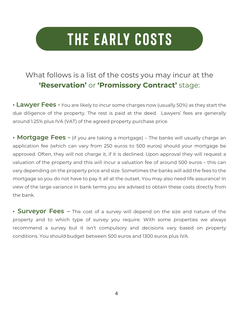# THE EARLY COSTS

### What follows is a list of the costs you may incur at the **'Reservation'** or **'Promissory Contract'** stage:

**• Lawyer Fees -** You are likely to incur some charges now (usually 50%) as they start the due diligence of the property. The rest is paid at the deed. Lawyers' fees are generally around 1.25% plus IVA (VAT) of the agreed property purchase price.

**• Mortgage Fees -** (if you are taking a mortgage) – The banks will usually charge an application fee (which can vary from 250 euros to 500 euros) should your mortgage be approved. Often, they will not charge it, if it is declined. Upon approval they will request a valuation of the property and this will incur a valuation fee of around 500 euros – this can vary depending on the property price and size. Sometimes the banks will add the fees to the mortgage so you do not have to pay it all at the outset. You may also need life assurance! In view of the large variance in bank terms you are advised to obtain these costs directly from the bank.

**• Surveyor Fees –** The cost of a survey will depend on the size and nature of the property and to which type of survey you require. With some properties we always recommend a survey but it isn't compulsory and decisions vary based on property conditions. You should budget between 500 euros and 1300 euros plus IVA.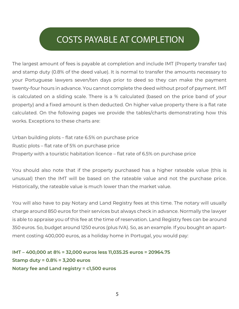### COSTS PAYABLE AT COMPLETION

The largest amount of fees is payable at completion and include IMT (Property transfer tax) and stamp duty (0.8% of the deed value). It is normal to transfer the amounts necessary to your Portuguese lawyers seven/ten days prior to deed so they can make the payment twenty-four hours in advance. You cannot complete the deed without proof of payment. IMT is calculated on a sliding scale. There is a % calculated (based on the price band of your property) and a fixed amount is then deducted. On higher value property there is a flat rate calculated. On the following pages we provide the tables/charts demonstrating how this works. Exceptions to these charts are:

Urban building plots – flat rate 6.5% on purchase price Rustic plots – flat rate of 5% on purchase price Property with a touristic habitation licence – flat rate of 6.5% on purchase price

You should also note that if the property purchased has a higher rateable value (this is unusual) then the IMT will be based on the rateable value and not the purchase price. Historically, the rateable value is much lower than the market value.

You will also have to pay Notary and Land Registry fees at this time. The notary will usually charge around 850 euros for their services but always check in advance. Normally the lawyer is able to appraise you of this fee at the time of reservation. Land Registry fees can be around 350 euros. So, budget around 1250 euros (plus IVA). So, as an example. If you bought an apartment costing 400,000 euros, as a holiday home in Portugal, you would pay:

**IMT – 400,000 at 8% = 32,000 euros less 11,035.25 euros = 20964.75 Stamp duty = 0.8% = 3,200 euros Notary fee and Land registry = c1,500 euros**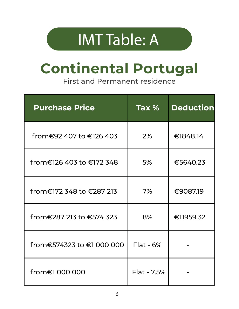# **IMT Table: A**

# **Continental Portugal**

First and Permanent residence

| <b>Purchase Price</b>     | Tax $%$     | <b>Deduction</b> |
|---------------------------|-------------|------------------|
| from€92 407 to €126 403   | 2%          | €1848.14         |
| from€126 403 to €172 348  | 5%          | €5640.23         |
| from€172 348 to €287 213  | 7%          | €9087.19         |
| from€287 213 to €574 323  | 8%          | €11959.32        |
| from€574323 to €1 000 000 | $Flat - 6%$ |                  |
| from€1000000              | Flat - 7.5% |                  |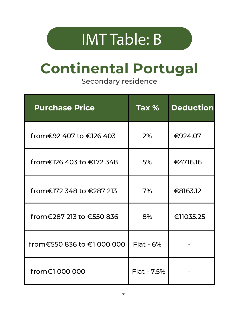# **IMT Table: B**

# **Continental Portugal**

Secondary residence

| <b>Purchase Price</b>      | Tax $%$     | <b>Deduction</b> |
|----------------------------|-------------|------------------|
| from€92 407 to €126 403    | 2%          | €924.07          |
| from€126 403 to €172 348   | 5%          | €4716.16         |
| from€172 348 to €287 213   | 7%          | €8163.12         |
| from€287 213 to €550 836   | 8%          | €11035.25        |
| from€550 836 to €1 000 000 | $Flat - 6%$ |                  |
| from€1000000               | Flat - 7.5% |                  |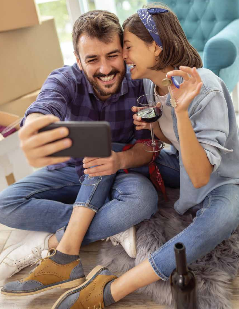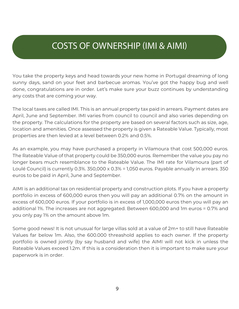### COSTS OF OWNERSHIP (IMI & AIMI)

You take the property keys and head towards your new home in Portugal dreaming of long sunny days, sand on your feet and barbecue aromas. You've got the happy bug and well done, congratulations are in order. Let's make sure your buzz continues by understanding any costs that are coming your way.

The local taxes are called IMI. This is an annual property tax paid in arrears. Payment dates are April, June and September. IMI varies from council to council and also varies depending on the property. The calculations for the property are based on several factors such as size, age, location and amenities. Once assessed the property is given a Rateable Value. Typically, most properties are then levied at a level between 0.2% and 0.5%.

As an example, you may have purchased a property in Vilamoura that cost 500,000 euros. The Rateable Value of that property could be 350,000 euros. Remember the value you pay no longer bears much resemblance to the Rateable Value. The IMI rate for Vilamoura (part of Loulé Council) is currently 0.3%. 350,000 x 0.3% = 1,050 euros. Payable annually in arrears. 350 euros to be paid in April, June and September.

AIMI is an additional tax on residential property and construction plots. If you have a property portfolio in excess of 600,000 euros then you will pay an additional 0.7% on the amount in excess of 600,000 euros. If your portfolio is in excess of 1,000,000 euros then you will pay an additional 1%. The increases are not aggregated. Between 600,000 and 1m euros = 0.7% and you only pay 1% on the amount above 1m.

Some good news! It is not unusual for large villas sold at a value of 2m+ to still have Rateable Values far below 1m. Also, the 600.000 threashold applies to each owner. If the property portfolio is owned jointly (by say husband and wife) the AIMI will not kick in unless the Rateable Values exceed 1.2m. If this is a consideration then it is important to make sure your paperwork is in order.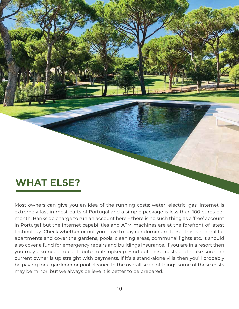### **WHAT ELSE?**

Most owners can give you an idea of the running costs: water, electric, gas. Internet is extremely fast in most parts of Portugal and a simple package is less than 100 euros per month. Banks do charge to run an account here – there is no such thing as a 'free' account in Portugal but the internet capabilities and ATM machines are at the forefront of latest technology. Check whether or not you have to pay condominium fees – this is normal for apartments and cover the gardens, pools, cleaning areas, communal lights etc. It should also cover a fund for emergency repairs and buildings insurance. If you are in a resort then you may also need to contribute to its upkeep. Find out these costs and make sure the current owner is up straight with payments. If it's a stand-alone villa then you'll probably be paying for a gardener or pool cleaner. In the overall scale of things some of these costs may be minor, but we always believe it is better to be prepared.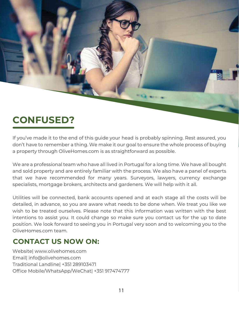

### **CONFUSED?**

If you've made it to the end of this guide your head is probably spinning. Rest assured, you don't have to remember a thing. We make it our goal to ensure the whole process of buying a property through OliveHomes.com is as straightforward as possible.

We are a professional team who have all lived in Portugal for a long time. We have all bought and sold property and are entirely familiar with the process. We also have a panel of experts that we have recommended for many years. Surveyors, lawyers, currency exchange specialists, mortgage brokers, architects and gardeners. We will help with it all.

Utilities will be connected, bank accounts opened and at each stage all the costs will be detailed, in advance, so you are aware what needs to be done when. We treat you like we wish to be treated ourselves. Please note that this information was written with the best intentions to assist you. It could change so make sure you contact us for the up to date position. We look forward to seeing you in Portugal very soon and to welcoming you to the OliveHomes.com team.

#### **CONTACT US NOW ON:**

Website| www.olivehomes.com Email| info@olivehomes.com Traditional Landline| +351 289103471 Office Mobile/WhatsApp/WeChat| +351 917474777